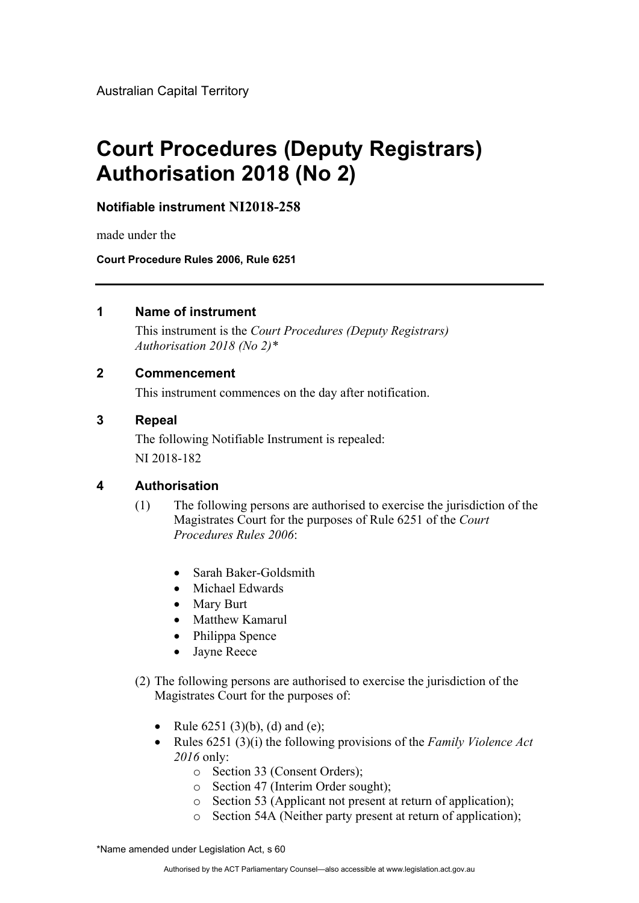Australian Capital Territory

# **Court Procedures (Deputy Registrars) Authorisation 2018 (No 2)**

**Notifiable instrument NI2018-258**

made under the

**Court Procedure Rules 2006, Rule 6251**

#### **1 Name of instrument**

This instrument is the *Court Procedures (Deputy Registrars) Authorisation 2018 (No 2)\** 

## **2 Commencement**

This instrument commences on the day after notification.

#### **3 Repeal**

The following Notifiable Instrument is repealed: NI 2018-182

## **4 Authorisation**

- (1) The following persons are authorised to exercise the jurisdiction of the Magistrates Court for the purposes of Rule 6251 of the *Court Procedures Rules 2006*:
	- Sarah Baker-Goldsmith
	- Michael Edwards
	- Mary Burt
	- Matthew Kamarul
	- Philippa Spence
	- Jayne Reece
- (2) The following persons are authorised to exercise the jurisdiction of the Magistrates Court for the purposes of:
	- Rule  $6251 (3)(b)$ , (d) and (e);
	- Rules 6251 (3)(i) the following provisions of the *Family Violence Act 2016* only:
		- o Section 33 (Consent Orders);
		- o Section 47 (Interim Order sought);
		- o Section 53 (Applicant not present at return of application);
		- o Section 54A (Neither party present at return of application);

\*Name amended under Legislation Act, s 60